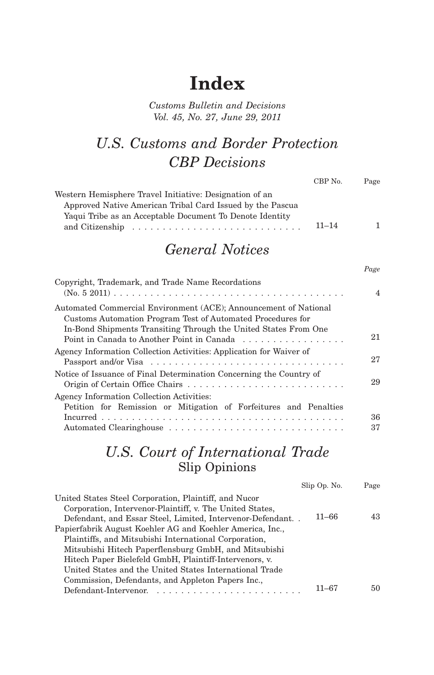## **Index**

## *U.S. Customs and Border Protection CBP Decisions*

|                                                                                                                                                                                                                                                                                                                                                                                                                       | CBP No.      | Page         |
|-----------------------------------------------------------------------------------------------------------------------------------------------------------------------------------------------------------------------------------------------------------------------------------------------------------------------------------------------------------------------------------------------------------------------|--------------|--------------|
| Western Hemisphere Travel Initiative: Designation of an<br>Approved Native American Tribal Card Issued by the Pascua<br>Yaqui Tribe as an Acceptable Document To Denote Identity                                                                                                                                                                                                                                      | $11 - 14$    | $\mathbf{1}$ |
| <b>General Notices</b>                                                                                                                                                                                                                                                                                                                                                                                                |              |              |
|                                                                                                                                                                                                                                                                                                                                                                                                                       |              | Page         |
| Copyright, Trademark, and Trade Name Recordations                                                                                                                                                                                                                                                                                                                                                                     |              |              |
| $(No. 5 2011)$                                                                                                                                                                                                                                                                                                                                                                                                        |              | 4            |
| Automated Commercial Environment (ACE); Announcement of National<br>Customs Automation Program Test of Automated Procedures for<br>In-Bond Shipments Transiting Through the United States From One<br>Point in Canada to Another Point in Canada                                                                                                                                                                      |              | 21           |
| Agency Information Collection Activities: Application for Waiver of                                                                                                                                                                                                                                                                                                                                                   |              |              |
|                                                                                                                                                                                                                                                                                                                                                                                                                       |              | 27           |
| Notice of Issuance of Final Determination Concerning the Country of                                                                                                                                                                                                                                                                                                                                                   |              | 29           |
| Agency Information Collection Activities:<br>Petition for Remission or Mitigation of Forfeitures and Penalties                                                                                                                                                                                                                                                                                                        |              |              |
| Automated Clearinghouse                                                                                                                                                                                                                                                                                                                                                                                               |              | 36<br>37     |
| U.S. Court of International Trade<br><b>Slip Opinions</b>                                                                                                                                                                                                                                                                                                                                                             |              |              |
|                                                                                                                                                                                                                                                                                                                                                                                                                       |              |              |
| United States Steel Corporation, Plaintiff, and Nucor<br>Corporation, Intervenor-Plaintiff, v. The United States,                                                                                                                                                                                                                                                                                                     | Slip Op. No. | Page         |
| Defendant, and Essar Steel, Limited, Intervenor-Defendant. .<br>Papierfabrik August Koehler AG and Koehler America, Inc.,<br>Plaintiffs, and Mitsubishi International Corporation,<br>Mitsubishi Hitech Paperflensburg GmbH, and Mitsubishi<br>Hitech Paper Bielefeld GmbH, Plaintiff-Intervenors, v.<br>United States and the United States International Trade<br>Commission, Defendants, and Appleton Papers Inc., | $11 - 66$    | 43           |
|                                                                                                                                                                                                                                                                                                                                                                                                                       | $11 - 67$    | 50           |